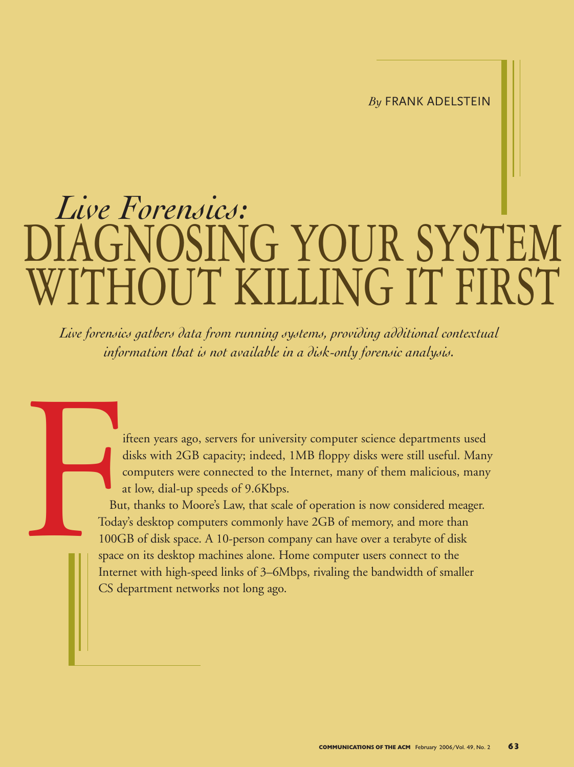*By* FRANK ADELSTEIN

# DIAGNOSING YOUR SYSTEM WITHOUT KILLING IT FIRST *Live Forensics:*

*Live forensics gathers data from running systems, providing additional contextual information that is not available in a disk-only forensic analysis.* 

> ifteen years ago, servers for university computer science departments used disks with 2GB capacity; indeed, 1MB floppy disks were still useful. Many computers were connected to the Internet, many of them malicious, many at low, dial-up speeds of 9.6Kbps.

But, thanks to Moore's Law, that scale of operation is now considered meager. Today's desktop computers commonly have 2GB of memory, and more than 100GB of disk space. A 10-person company can have over a terabyte of disk space on its desktop machines alone. Home computer users connect to the Internet with high-speed links of 3–6Mbps, rivaling the bandwidth of smaller CS department networks not long ago. France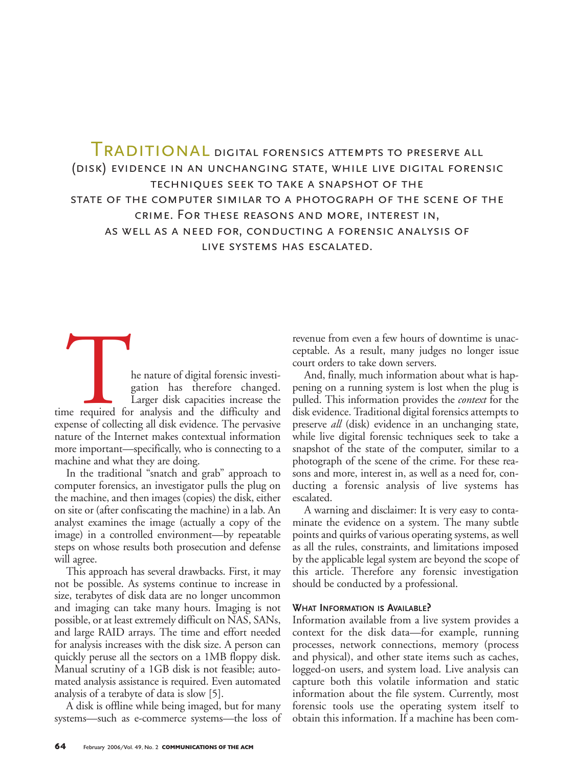TRADITIONAL DIGITAL FORENSICS ATTEMPTS TO PRESERVE ALL (disk) evidence in an unchanging state, while live digital forensic techniques seek to take a snapshot of the state of the computer similar to a photograph of the scene of the crime. For these reasons and more, interest in, as well as a need for, conducting a forensic analysis of live systems has escalated.

The nature of digital forensic investigation has therefore changed.<br>Larger disk capacities increase the<br>ne required for analysis and the difficulty and<br>bense of collecting all disk evidence. The pervasive gation has therefore changed. Larger disk capacities increase the time required for analysis and the difficulty and expense of collecting all disk evidence. The pervasive nature of the Internet makes contextual information more important—specifically, who is connecting to a machine and what they are doing.

In the traditional "snatch and grab" approach to computer forensics, an investigator pulls the plug on the machine, and then images (copies) the disk, either on site or (after confiscating the machine) in a lab. An analyst examines the image (actually a copy of the image) in a controlled environment—by repeatable steps on whose results both prosecution and defense will agree.

This approach has several drawbacks. First, it may not be possible. As systems continue to increase in size, terabytes of disk data are no longer uncommon and imaging can take many hours. Imaging is not possible, or at least extremely difficult on NAS, SANs, and large RAID arrays. The time and effort needed for analysis increases with the disk size. A person can quickly peruse all the sectors on a 1MB floppy disk. Manual scrutiny of a 1GB disk is not feasible; automated analysis assistance is required. Even automated analysis of a terabyte of data is slow [5].

A disk is offline while being imaged, but for many systems—such as e-commerce systems—the loss of revenue from even a few hours of downtime is unacceptable. As a result, many judges no longer issue court orders to take down servers.

And, finally, much information about what is happening on a running system is lost when the plug is pulled. This information provides the *context* for the disk evidence. Traditional digital forensics attempts to preserve *all* (disk) evidence in an unchanging state, while live digital forensic techniques seek to take a snapshot of the state of the computer, similar to a photograph of the scene of the crime. For these reasons and more, interest in, as well as a need for, conducting a forensic analysis of live systems has escalated.

A warning and disclaimer: It is very easy to contaminate the evidence on a system. The many subtle points and quirks of various operating systems, as well as all the rules, constraints, and limitations imposed by the applicable legal system are beyond the scope of this article. Therefore any forensic investigation should be conducted by a professional.

#### **WHAT INFORMATION IS AVAILABLE?**

Information available from a live system provides a context for the disk data—for example, running processes, network connections, memory (process and physical), and other state items such as caches, logged-on users, and system load. Live analysis can capture both this volatile information and static information about the file system. Currently, most forensic tools use the operating system itself to obtain this information. If a machine has been com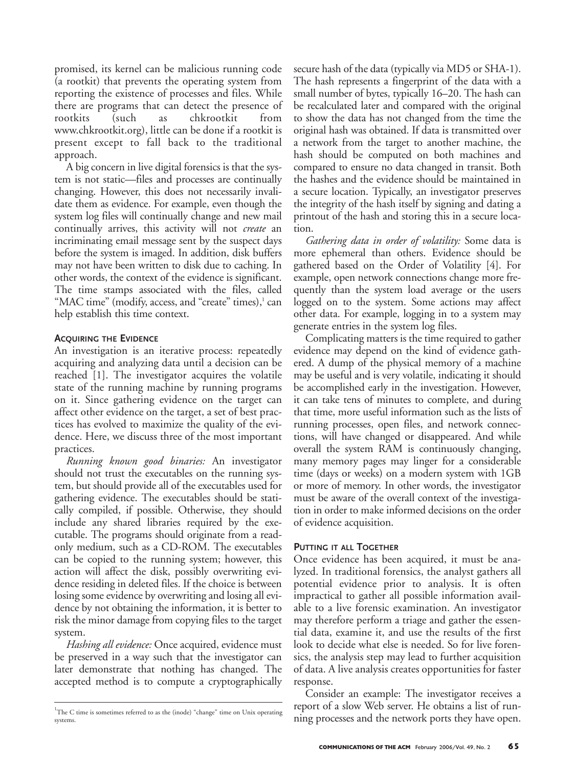promised, its kernel can be malicious running code (a rootkit) that prevents the operating system from reporting the existence of processes and files. While there are programs that can detect the presence of rootkits (such as chkrootkit from www.chkrootkit.org), little can be done if a rootkit is present except to fall back to the traditional approach.

A big concern in live digital forensics is that the system is not static—files and processes are continually changing. However, this does not necessarily invalidate them as evidence. For example, even though the system log files will continually change and new mail continually arrives, this activity will not *create* an incriminating email message sent by the suspect days before the system is imaged. In addition, disk buffers may not have been written to disk due to caching. In other words, the context of the evidence is significant. The time stamps associated with the files, called "MAC time" (modify, access, and "create" times),<sup>1</sup> can help establish this time context.

### **ACQUIRING THE EVIDENCE**

An investigation is an iterative process: repeatedly acquiring and analyzing data until a decision can be reached [1]. The investigator acquires the volatile state of the running machine by running programs on it. Since gathering evidence on the target can affect other evidence on the target, a set of best practices has evolved to maximize the quality of the evidence. Here, we discuss three of the most important practices.

*Running known good binaries:* An investigator should not trust the executables on the running system, but should provide all of the executables used for gathering evidence. The executables should be statically compiled, if possible. Otherwise, they should include any shared libraries required by the executable. The programs should originate from a readonly medium, such as a CD-ROM. The executables can be copied to the running system; however, this action will affect the disk, possibly overwriting evidence residing in deleted files. If the choice is between losing some evidence by overwriting and losing all evidence by not obtaining the information, it is better to risk the minor damage from copying files to the target system.

*Hashing all evidence:* Once acquired, evidence must be preserved in a way such that the investigator can later demonstrate that nothing has changed. The accepted method is to compute a cryptographically

secure hash of the data (typically via MD5 or SHA-1). The hash represents a fingerprint of the data with a small number of bytes, typically 16–20. The hash can be recalculated later and compared with the original to show the data has not changed from the time the original hash was obtained. If data is transmitted over a network from the target to another machine, the hash should be computed on both machines and compared to ensure no data changed in transit. Both the hashes and the evidence should be maintained in a secure location. Typically, an investigator preserves the integrity of the hash itself by signing and dating a printout of the hash and storing this in a secure location.

*Gathering data in order of volatility:* Some data is more ephemeral than others. Evidence should be gathered based on the Order of Volatility [4]. For example, open network connections change more frequently than the system load average or the users logged on to the system. Some actions may affect other data. For example, logging in to a system may generate entries in the system log files.

Complicating matters is the time required to gather evidence may depend on the kind of evidence gathered. A dump of the physical memory of a machine may be useful and is very volatile, indicating it should be accomplished early in the investigation. However, it can take tens of minutes to complete, and during that time, more useful information such as the lists of running processes, open files, and network connections, will have changed or disappeared. And while overall the system RAM is continuously changing, many memory pages may linger for a considerable time (days or weeks) on a modern system with 1GB or more of memory. In other words, the investigator must be aware of the overall context of the investigation in order to make informed decisions on the order of evidence acquisition.

#### **PUTTING IT ALL TOGETHER**

Once evidence has been acquired, it must be analyzed. In traditional forensics, the analyst gathers all potential evidence prior to analysis. It is often impractical to gather all possible information available to a live forensic examination. An investigator may therefore perform a triage and gather the essential data, examine it, and use the results of the first look to decide what else is needed. So for live forensics, the analysis step may lead to further acquisition of data. A live analysis creates opportunities for faster response.

Consider an example: The investigator receives a report of a slow Web server. He obtains a list of running processes and the network ports they have open.

<sup>&</sup>lt;sup>1</sup>The C time is sometimes referred to as the (inode) "change" time on Unix operating systems.